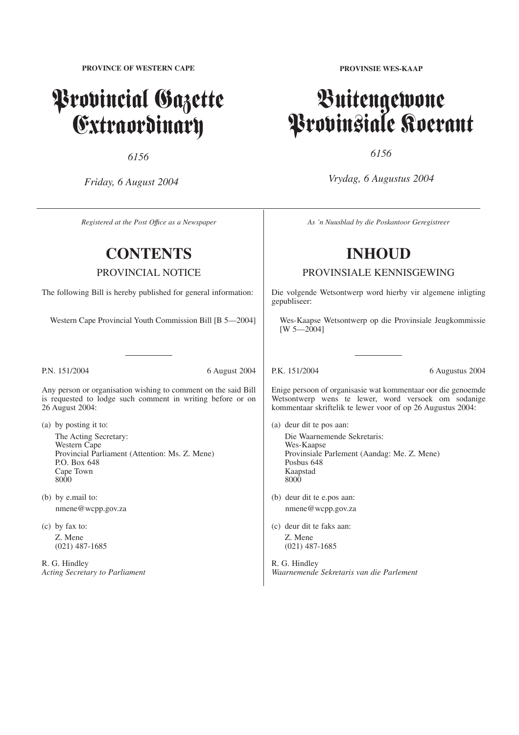**PROVINCE OF WESTERN CAPE**

# Provincial Gazette Extraordinary

*6156*

*Friday, 6 August 2004*

*Registered at the Post Offıce as a Newspaper*

# **CONTENTS**

PROVINCIAL NOTICE

The following Bill is hereby published for general information:

Western Cape Provincial Youth Commission Bill [B 5—2004]

P.N. 151/2004 6 August 2004

Any person or organisation wishing to comment on the said Bill is requested to lodge such comment in writing before or on 26 August 2004:

- (a) by posting it to: The Acting Secretary: Western Cape Provincial Parliament (Attention: Ms. Z. Mene) P.O. Box 648 Cape Town 8000
- (b) by e.mail to: nmene@wcpp.gov.za
- (c) by fax to: Z. Mene (021) 487-1685

R. G. Hindley *Acting Secretary to Parliament* **PROVINSIE WES-KAAP**

# Buitengewone Provinsiale Koerant

*6156*

*Vrydag, 6 Augustus 2004*

*As 'n Nuusblad by die Poskantoor Geregistreer*

# **INHOUD**

PROVINSIALE KENNISGEWING

Die volgende Wetsontwerp word hierby vir algemene inligting gepubliseer:

Wes-Kaapse Wetsontwerp op die Provinsiale Jeugkommissie  $[W 5 - 2004]$ 

P.K. 151/2004 6 Augustus 2004

Enige persoon of organisasie wat kommentaar oor die genoemde Wetsontwerp wens te lewer, word versoek om sodanige kommentaar skriftelik te lewer voor of op 26 Augustus 2004:

- (a) deur dit te pos aan: Die Waarnemende Sekretaris: Wes-Kaapse Provinsiale Parlement (Aandag: Me. Z. Mene) Posbus 648 Kaapstad 8000
- (b) deur dit te e.pos aan: nmene@wcpp.gov.za
- (c) deur dit te faks aan: Z. Mene (021) 487-1685

R. G. Hindley *Waarnemende Sekretaris van die Parlement*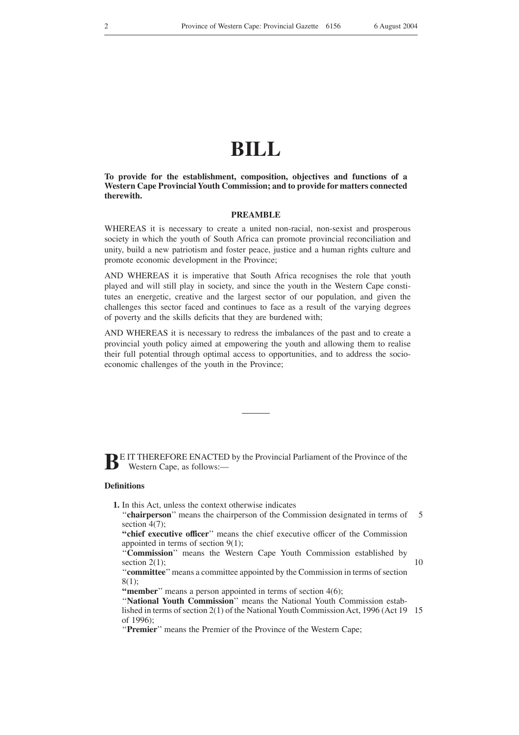# **BILL**

**To provide for the establishment, composition, objectives and functions of a Western Cape Provincial Youth Commission; and to provide for matters connected therewith.**

## **PREAMBLE**

WHEREAS it is necessary to create a united non-racial, non-sexist and prosperous society in which the youth of South Africa can promote provincial reconciliation and unity, build a new patriotism and foster peace, justice and a human rights culture and promote economic development in the Province;

AND WHEREAS it is imperative that South Africa recognises the role that youth played and will still play in society, and since the youth in the Western Cape constitutes an energetic, creative and the largest sector of our population, and given the challenges this sector faced and continues to face as a result of the varying degrees of poverty and the skills deficits that they are burdened with;

AND WHEREAS it is necessary to redress the imbalances of the past and to create a provincial youth policy aimed at empowering the youth and allowing them to realise their full potential through optimal access to opportunities, and to address the socioeconomic challenges of the youth in the Province;

**BE IT THEREFORE ENACTED by the Provincial Parliament of the Province of the Western Cape, as follows** Western Cape, as follows:—

#### **Definitions**

- **1.** In this Act, unless the context otherwise indicates
	- "**chairperson**" means the chairperson of the Commission designated in terms of section  $4(7)$ : 5

**''chief executive officer**'' means the chief executive officer of the Commission appointed in terms of section 9(1);

''**Commission**'' means the Western Cape Youth Commission established by section  $2(1)$ ;

10

''**committee**''means a committee appointed by the Commission in terms of section 8(1);

**"member**" means a person appointed in terms of section 4(6);

"National Youth Commission" means the National Youth Commission established in terms of section 2(1) of the National Youth Commission Act, 1996 (Act 19 15of 1996);

''**Premier**'' means the Premier of the Province of the Western Cape;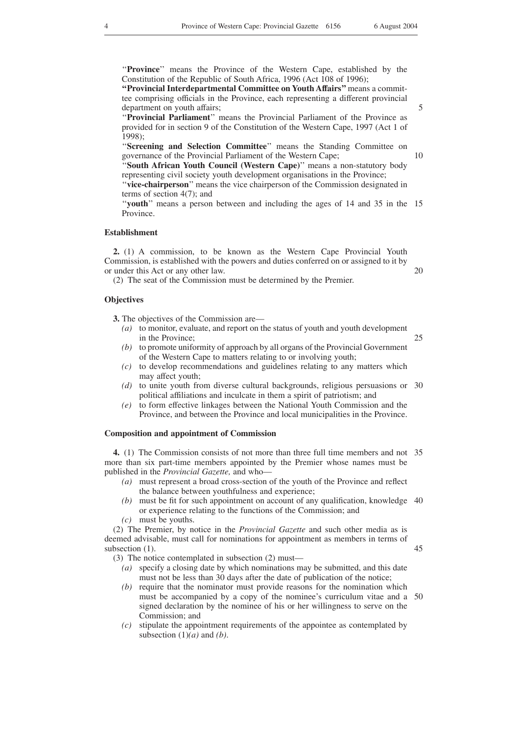''**Province**'' means the Province of the Western Cape, established by the Constitution of the Republic of South Africa, 1996 (Act 108 of 1996);

**''Provincial Interdepartmental Committee on Youth Affairs''**means a committee comprising officials in the Province, each representing a different provincial department on youth affairs;

''**Provincial Parliament**'' means the Provincial Parliament of the Province as provided for in section 9 of the Constitution of the Western Cape, 1997 (Act 1 of 1998);

''**Screening and Selection Committee**'' means the Standing Committee on governance of the Provincial Parliament of the Western Cape;

"South African Youth Council (Western Cape)" means a non-statutory body representing civil society youth development organisations in the Province; ''**vice-chairperson**'' means the vice chairperson of the Commission designated in terms of section 4(7); and

"youth" means a person between and including the ages of 14 and 35 in the 15 Province.

#### **Establishment**

**2.** (1) A commission, to be known as the Western Cape Provincial Youth Commission, is established with the powers and duties conferred on or assigned to it by or under this Act or any other law.

(2) The seat of the Commission must be determined by the Premier.

## **Objectives**

**3.** The objectives of the Commission are—

- *(a)* to monitor, evaluate, and report on the status of youth and youth development in the Province; 25
- *(b)* to promote uniformity of approach by all organs of the Provincial Government of the Western Cape to matters relating to or involving youth;
- *(c)* to develop recommendations and guidelines relating to any matters which may affect youth;
- *(d)* to unite youth from diverse cultural backgrounds, religious persuasions or 30 political affiliations and inculcate in them a spirit of patriotism; and
- *(e)* to form effective linkages between the National Youth Commission and the Province, and between the Province and local municipalities in the Province.

#### **Composition and appointment of Commission**

**4.** (1) The Commission consists of not more than three full time members and not 35 more than six part-time members appointed by the Premier whose names must be published in the *Provincial Gazette,* and who—

- *(a)* must represent a broad cross-section of the youth of the Province and reflect the balance between youthfulness and experience;
- *(b)* must be fit for such appointment on account of any qualification, knowledge 40 or experience relating to the functions of the Commission; and

*(c)* must be youths.

(2) The Premier, by notice in the *Provincial Gazette* and such other media as is deemed advisable, must call for nominations for appointment as members in terms of subsection  $(1)$ .

(3) The notice contemplated in subsection (2) must—

- *(a)* specify a closing date by which nominations may be submitted, and this date must not be less than 30 days after the date of publication of the notice;
- *(b)* require that the nominator must provide reasons for the nomination which must be accompanied by a copy of the nominee's curriculum vitae and a 50signed declaration by the nominee of his or her willingness to serve on the Commission; and
- *(c)* stipulate the appointment requirements of the appointee as contemplated by subsection  $(1)(a)$  and  $(b)$ .

5

10

20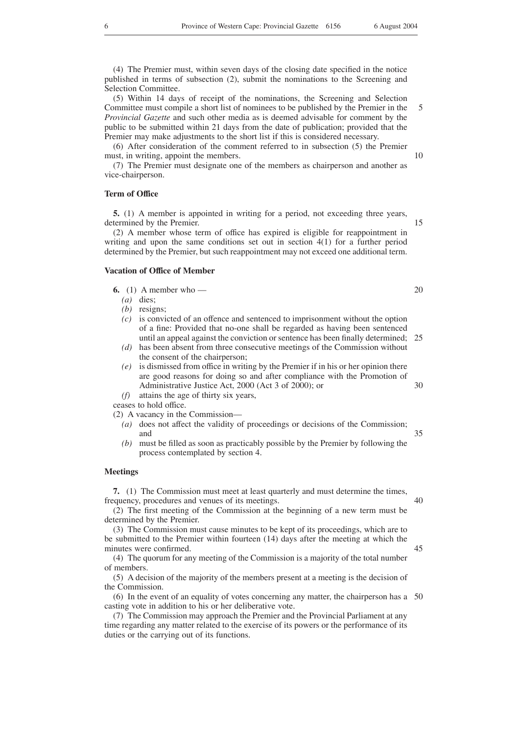(4) The Premier must, within seven days of the closing date specified in the notice published in terms of subsection (2), submit the nominations to the Screening and Selection Committee.

(5) Within 14 days of receipt of the nominations, the Screening and Selection Committee must compile a short list of nominees to be published by the Premier in the *Provincial Gazette* and such other media as is deemed advisable for comment by the public to be submitted within 21 days from the date of publication; provided that the Premier may make adjustments to the short list if this is considered necessary. 5

(6) After consideration of the comment referred to in subsection (5) the Premier must, in writing, appoint the members.

(7) The Premier must designate one of the members as chairperson and another as vice-chairperson.

#### **Term of Office**

**5.** (1) A member is appointed in writing for a period, not exceeding three years, determined by the Premier.

(2) A member whose term of office has expired is eligible for reappointment in writing and upon the same conditions set out in section 4(1) for a further period determined by the Premier, but such reappointment may not exceed one additional term.

#### **Vacation of Office of Member**

**6.** (1) A member who —

- *(a)* dies;
- *(b)* resigns;
- *(c)* is convicted of an offence and sentenced to imprisonment without the option of a fine: Provided that no-one shall be regarded as having been sentenced until an appeal against the conviction or sentence has been finally determined; 25
- *(d)* has been absent from three consecutive meetings of the Commission without the consent of the chairperson;
- *(e)* is dismissed from office in writing by the Premier if in his or her opinion there are good reasons for doing so and after compliance with the Promotion of Administrative Justice Act, 2000 (Act 3 of 2000); or 30
- *(f)* attains the age of thirty six years,

ceases to hold office.

(2) A vacancy in the Commission—

- *(a)* does not affect the validity of proceedings or decisions of the Commission; and
- *(b)* must be filled as soon as practicably possible by the Premier by following the process contemplated by section 4.

#### **Meetings**

**7.** (1) The Commission must meet at least quarterly and must determine the times, frequency, procedures and venues of its meetings.

(2) The first meeting of the Commission at the beginning of a new term must be determined by the Premier.

(3) The Commission must cause minutes to be kept of its proceedings, which are to be submitted to the Premier within fourteen (14) days after the meeting at which the minutes were confirmed.

(4) The quorum for any meeting of the Commission is a majority of the total number of members.

(5) A decision of the majority of the members present at a meeting is the decision of the Commission.

(6) In the event of an equality of votes concerning any matter, the chairperson has a 50casting vote in addition to his or her deliberative vote.

(7) The Commission may approach the Premier and the Provincial Parliament at any time regarding any matter related to the exercise of its powers or the performance of its duties or the carrying out of its functions.

40

45

35

10

15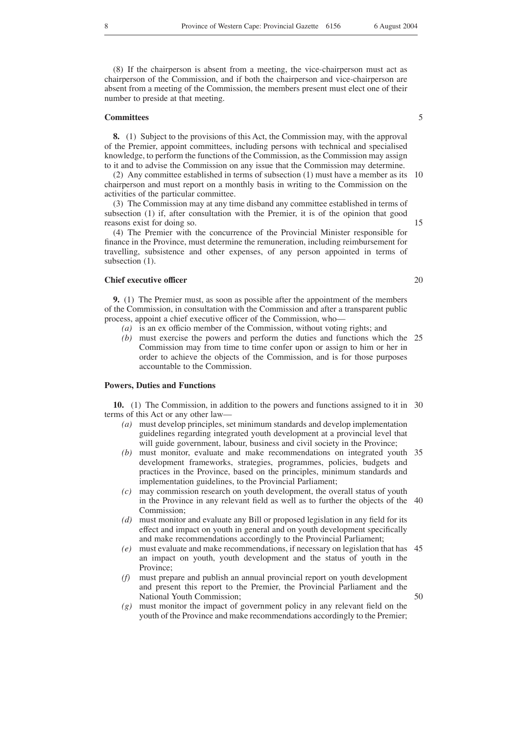(8) If the chairperson is absent from a meeting, the vice-chairperson must act as chairperson of the Commission, and if both the chairperson and vice-chairperson are absent from a meeting of the Commission, the members present must elect one of their number to preside at that meeting.

#### **Committees**

**8.** (1) Subject to the provisions of this Act, the Commission may, with the approval of the Premier, appoint committees, including persons with technical and specialised knowledge, to perform the functions of the Commission, as the Commission may assign to it and to advise the Commission on any issue that the Commission may determine.

(2) Any committee established in terms of subsection (1) must have a member as its chairperson and must report on a monthly basis in writing to the Commission on the activities of the particular committee. 10

(3) The Commission may at any time disband any committee established in terms of subsection (1) if, after consultation with the Premier, it is of the opinion that good reasons exist for doing so.

(4) The Premier with the concurrence of the Provincial Minister responsible for finance in the Province, must determine the remuneration, including reimbursement for travelling, subsistence and other expenses, of any person appointed in terms of subsection  $(1)$ .

# **Chief executive officer**

**9.** (1) The Premier must, as soon as possible after the appointment of the members of the Commission, in consultation with the Commission and after a transparent public process, appoint a chief executive officer of the Commission, who—

- *(a)* is an ex officio member of the Commission, without voting rights; and
- *(b)* must exercise the powers and perform the duties and functions which the 25 Commission may from time to time confer upon or assign to him or her in order to achieve the objects of the Commission, and is for those purposes accountable to the Commission.

### **Powers, Duties and Functions**

**10.** (1) The Commission, in addition to the powers and functions assigned to it in 30 terms of this Act or any other law—

- *(a)* must develop principles, set minimum standards and develop implementation guidelines regarding integrated youth development at a provincial level that will guide government, labour, business and civil society in the Province;
- *(b)* must monitor, evaluate and make recommendations on integrated youth 35 development frameworks, strategies, programmes, policies, budgets and practices in the Province, based on the principles, minimum standards and implementation guidelines, to the Provincial Parliament;
- *(c)* may commission research on youth development, the overall status of youth in the Province in any relevant field as well as to further the objects of the 40 Commission:
- *(d)* must monitor and evaluate any Bill or proposed legislation in any field for its effect and impact on youth in general and on youth development specifically and make recommendations accordingly to the Provincial Parliament;
- *(e)* must evaluate and make recommendations, if necessary on legislation that has an impact on youth, youth development and the status of youth in the Province; 45
- *(f)* must prepare and publish an annual provincial report on youth development and present this report to the Premier, the Provincial Parliament and the National Youth Commission;
- *(g)* must monitor the impact of government policy in any relevant field on the youth of the Province and make recommendations accordingly to the Premier;

5

20

50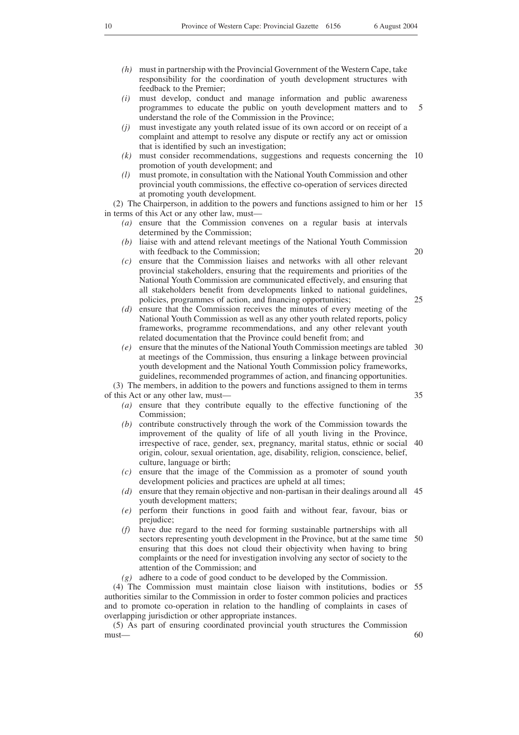- *(h)* must in partnership with the Provincial Government of the Western Cape, take responsibility for the coordination of youth development structures with feedback to the Premier;
- *(i)* must develop, conduct and manage information and public awareness programmes to educate the public on youth development matters and to understand the role of the Commission in the Province; 5
- *(j)* must investigate any youth related issue of its own accord or on receipt of a complaint and attempt to resolve any dispute or rectify any act or omission that is identified by such an investigation;
- *(k)* must consider recommendations, suggestions and requests concerning the 10 promotion of youth development; and
- *(l)* must promote, in consultation with the National Youth Commission and other provincial youth commissions, the effective co-operation of services directed at promoting youth development.

(2) The Chairperson, in addition to the powers and functions assigned to him or her 15 in terms of this Act or any other law, must—

- *(a)* ensure that the Commission convenes on a regular basis at intervals determined by the Commission;
- liaise with and attend relevant meetings of the National Youth Commission with feedback to the Commission;
- *(c)* ensure that the Commission liaises and networks with all other relevant provincial stakeholders, ensuring that the requirements and priorities of the National Youth Commission are communicated effectively, and ensuring that all stakeholders benefit from developments linked to national guidelines, policies, programmes of action, and financing opportunities;
- *(d)* ensure that the Commission receives the minutes of every meeting of the National Youth Commission as well as any other youth related reports, policy frameworks, programme recommendations, and any other relevant youth related documentation that the Province could benefit from; and
- *(e)* ensure that the minutes of the National Youth Commission meetings are tabled 30 at meetings of the Commission, thus ensuring a linkage between provincial youth development and the National Youth Commission policy frameworks, guidelines, recommended programmes of action, and financing opportunities. (3) The members, in addition to the powers and functions assigned to them in terms

of this Act or any other law, must—

- *(a)* ensure that they contribute equally to the effective functioning of the Commission;
- *(b)* contribute constructively through the work of the Commission towards the improvement of the quality of life of all youth living in the Province, irrespective of race, gender, sex, pregnancy, marital status, ethnic or social 40 origin, colour, sexual orientation, age, disability, religion, conscience, belief, culture, language or birth;
- *(c)* ensure that the image of the Commission as a promoter of sound youth development policies and practices are upheld at all times;
- *(d)* ensure that they remain objective and non-partisan in their dealings around all 45 youth development matters;
- *(e)* perform their functions in good faith and without fear, favour, bias or prejudice;
- *(f)* have due regard to the need for forming sustainable partnerships with all sectors representing youth development in the Province, but at the same time 50 ensuring that this does not cloud their objectivity when having to bring complaints or the need for investigation involving any sector of society to the attention of the Commission; and
- *(g)* adhere to a code of good conduct to be developed by the Commission.

(4) The Commission must maintain close liaison with institutions, bodies or 55 authorities similar to the Commission in order to foster common policies and practices and to promote co-operation in relation to the handling of complaints in cases of overlapping jurisdiction or other appropriate instances.

(5) As part of ensuring coordinated provincial youth structures the Commission must— 60

35

20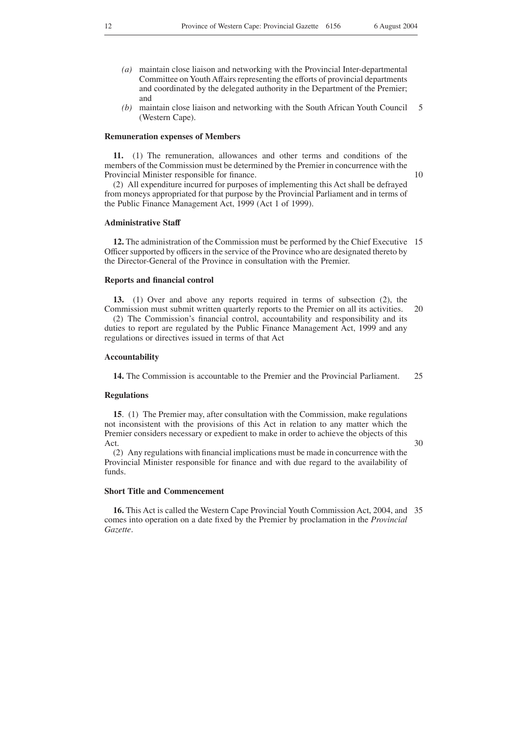- *(a)* maintain close liaison and networking with the Provincial Inter-departmental Committee on Youth Affairs representing the efforts of provincial departments and coordinated by the delegated authority in the Department of the Premier; and
- *(b)* maintain close liaison and networking with the South African Youth Council (Western Cape). 5

#### **Remuneration expenses of Members**

**11.** (1) The remuneration, allowances and other terms and conditions of the members of the Commission must be determined by the Premier in concurrence with the Provincial Minister responsible for finance.

10

(2) All expenditure incurred for purposes of implementing this Act shall be defrayed from moneys appropriated for that purpose by the Provincial Parliament and in terms of the Public Finance Management Act, 1999 (Act 1 of 1999).

### **Administrative Staff**

**12.** The administration of the Commission must be performed by the Chief Executive 15 Officer supported by officers in the service of the Province who are designated thereto by the Director-General of the Province in consultation with the Premier.

### **Reports and financial control**

**13.** (1) Over and above any reports required in terms of subsection (2), the

Commission must submit written quarterly reports to the Premier on all its activities. (2) The Commission's financial control, accountability and responsibility and its duties to report are regulated by the Public Finance Management Act, 1999 and any regulations or directives issued in terms of that Act 20

#### **Accountability**

**14.** The Commission is accountable to the Premier and the Provincial Parliament. 25

## **Regulations**

**15**. (1) The Premier may, after consultation with the Commission, make regulations not inconsistent with the provisions of this Act in relation to any matter which the Premier considers necessary or expedient to make in order to achieve the objects of this Act.

30

(2) Any regulations with financial implications must be made in concurrence with the Provincial Minister responsible for finance and with due regard to the availability of funds.

# **Short Title and Commencement**

**16.** This Act is called the Western Cape Provincial Youth Commission Act, 2004, and 35comes into operation on a date fixed by the Premier by proclamation in the *Provincial Gazette*.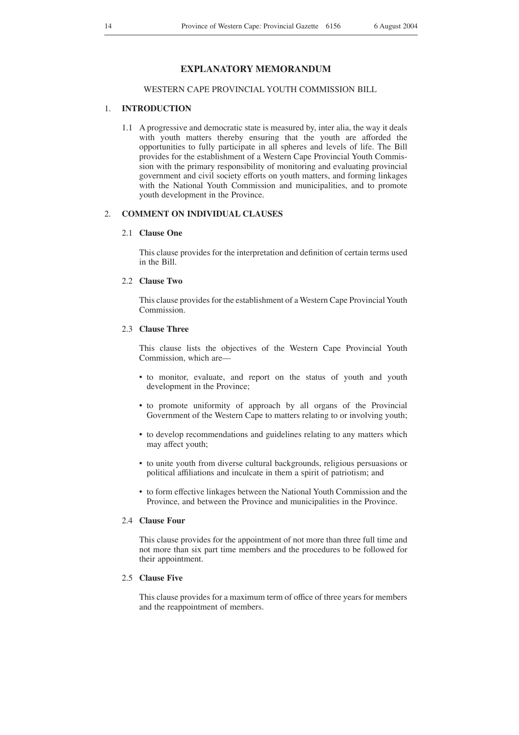# **EXPLANATORY MEMORANDUM**

# WESTERN CAPE PROVINCIAL YOUTH COMMISSION BILL

# 1. **INTRODUCTION**

1.1 A progressive and democratic state is measured by, inter alia, the way it deals with youth matters thereby ensuring that the youth are afforded the opportunities to fully participate in all spheres and levels of life. The Bill provides for the establishment of a Western Cape Provincial Youth Commission with the primary responsibility of monitoring and evaluating provincial government and civil society efforts on youth matters, and forming linkages with the National Youth Commission and municipalities, and to promote youth development in the Province.

# 2. **COMMENT ON INDIVIDUAL CLAUSES**

# 2.1 **Clause One**

This clause provides for the interpretation and definition of certain terms used in the Bill.

# 2.2 **Clause Two**

This clause provides for the establishment of a Western Cape Provincial Youth Commission.

# 2.3 **Clause Three**

This clause lists the objectives of the Western Cape Provincial Youth Commission, which are—

- to monitor, evaluate, and report on the status of youth and youth development in the Province;
- to promote uniformity of approach by all organs of the Provincial Government of the Western Cape to matters relating to or involving youth;
- to develop recommendations and guidelines relating to any matters which may affect youth;
- to unite youth from diverse cultural backgrounds, religious persuasions or political affiliations and inculcate in them a spirit of patriotism; and
- to form effective linkages between the National Youth Commission and the Province, and between the Province and municipalities in the Province.

#### 2.4 **Clause Four**

This clause provides for the appointment of not more than three full time and not more than six part time members and the procedures to be followed for their appointment.

# 2.5 **Clause Five**

This clause provides for a maximum term of office of three years for members and the reappointment of members.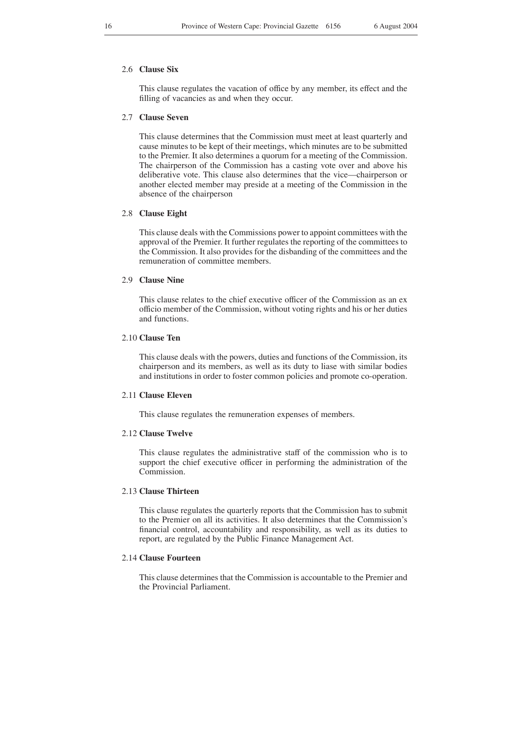# 2.6 **Clause Six**

This clause regulates the vacation of office by any member, its effect and the filling of vacancies as and when they occur.

#### 2.7 **Clause Seven**

This clause determines that the Commission must meet at least quarterly and cause minutes to be kept of their meetings, which minutes are to be submitted to the Premier. It also determines a quorum for a meeting of the Commission. The chairperson of the Commission has a casting vote over and above his deliberative vote. This clause also determines that the vice—chairperson or another elected member may preside at a meeting of the Commission in the absence of the chairperson

## 2.8 **Clause Eight**

This clause deals with the Commissions power to appoint committees with the approval of the Premier. It further regulates the reporting of the committees to the Commission. It also provides for the disbanding of the committees and the remuneration of committee members.

# 2.9 **Clause Nine**

This clause relates to the chief executive officer of the Commission as an ex officio member of the Commission, without voting rights and his or her duties and functions.

# 2.10 **Clause Ten**

This clause deals with the powers, duties and functions of the Commission, its chairperson and its members, as well as its duty to liase with similar bodies and institutions in order to foster common policies and promote co-operation.

# 2.11 **Clause Eleven**

This clause regulates the remuneration expenses of members.

# 2.12 **Clause Twelve**

This clause regulates the administrative staff of the commission who is to support the chief executive officer in performing the administration of the Commission.

# 2.13 **Clause Thirteen**

This clause regulates the quarterly reports that the Commission has to submit to the Premier on all its activities. It also determines that the Commission's financial control, accountability and responsibility, as well as its duties to report, are regulated by the Public Finance Management Act.

#### 2.14 **Clause Fourteen**

This clause determines that the Commission is accountable to the Premier and the Provincial Parliament.